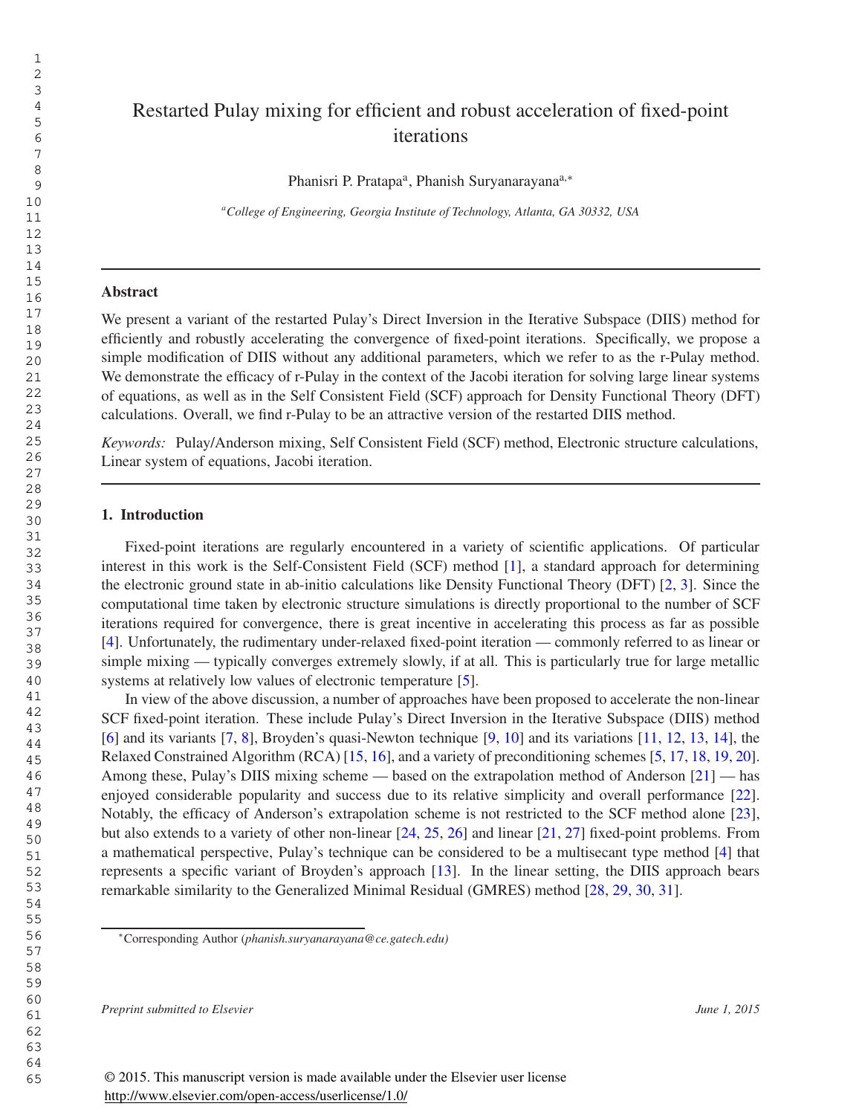# Restarted Pulay mixing for efficient and robust acceleration of fixed-point iterations

Phanisri P. Pratapa<sup>a</sup>, Phanish Suryanarayana<sup>a,\*</sup>

*<sup>a</sup>College of Engineering, Georgia Institute of Technology, Atlanta, GA 30332, USA*

## Abstract

We present a variant of the restarted Pulay's Direct Inversion in the Iterative Subspace (DIIS) method for efficiently and robustly accelerating the convergence of fixed-point iterations. Specifically, we propose a simple modification of DIIS without any additional parameters, which we refer to as the r-Pulay method. We demonstrate the efficacy of r-Pulay in the context of the Jacobi iteration for solving large linear systems of equations, as well as in the Self Consistent Field (SCF) approach for Density Functional Theory (DFT) calculations. Overall, we find r-Pulay to be an attractive version of the restarted DIIS method.

*Keywords:* Pulay/Anderson mixing, Self Consistent Field (SCF) method, Electronic structure calculations, Linear system of equations, Jacobi iteration.

#### 1. Introduction

Fixed-point iterations are regularly encountered in a variety of scientific applications. Of particular interest in this work is the Self-Consistent Field (SCF) method [1], a standard approach for determining the electronic ground state in ab-initio calculations like Density Functional Theory (DFT) [2, 3]. Since the computational time taken by electronic structure simulations is directly proportional to the number of SCF iterations required for convergence, there is great incentive in accelerating this process as far as possible [4]. Unfortunately, the rudimentary under-relaxed fixed-point iteration — commonly referred to as linear or simple mixing — typically converges extremely slowly, if at all. This is particularly true for large metallic systems at relatively low values of electronic temperature [5].

In view of the above discussion, a number of approaches have been proposed to accelerate the non-linear SCF fixed-point iteration. These include Pulay's Direct Inversion in the Iterative Subspace (DIIS) method [6] and its variants [7, 8], Broyden's quasi-Newton technique [9, 10] and its variations [11, 12, 13, 14], the Relaxed Constrained Algorithm (RCA) [15, 16], and a variety of preconditioning schemes [5, 17, 18, 19, 20]. Among these, Pulay's DIIS mixing scheme — based on the extrapolation method of Anderson [21] — has enjoyed considerable popularity and success due to its relative simplicity and overall performance [22]. Notably, the efficacy of Anderson's extrapolation scheme is not restricted to the SCF method alone [23], but also extends to a variety of other non-linear [24, 25, 26] and linear [21, 27] fixed-point problems. From a mathematical perspective, Pulay's technique can be considered to be a multisecant type method [4] that represents a specific variant of Broyden's approach [13]. In the linear setting, the DIIS approach bears remarkable similarity to the Generalized Minimal Residual (GMRES) method [28, 29, 30, 31].

*Preprint submitted to Elsevier June 1, 2015*

<sup>∗</sup>Corresponding Author (*phanish.suryanarayana@ce.gatech.edu)*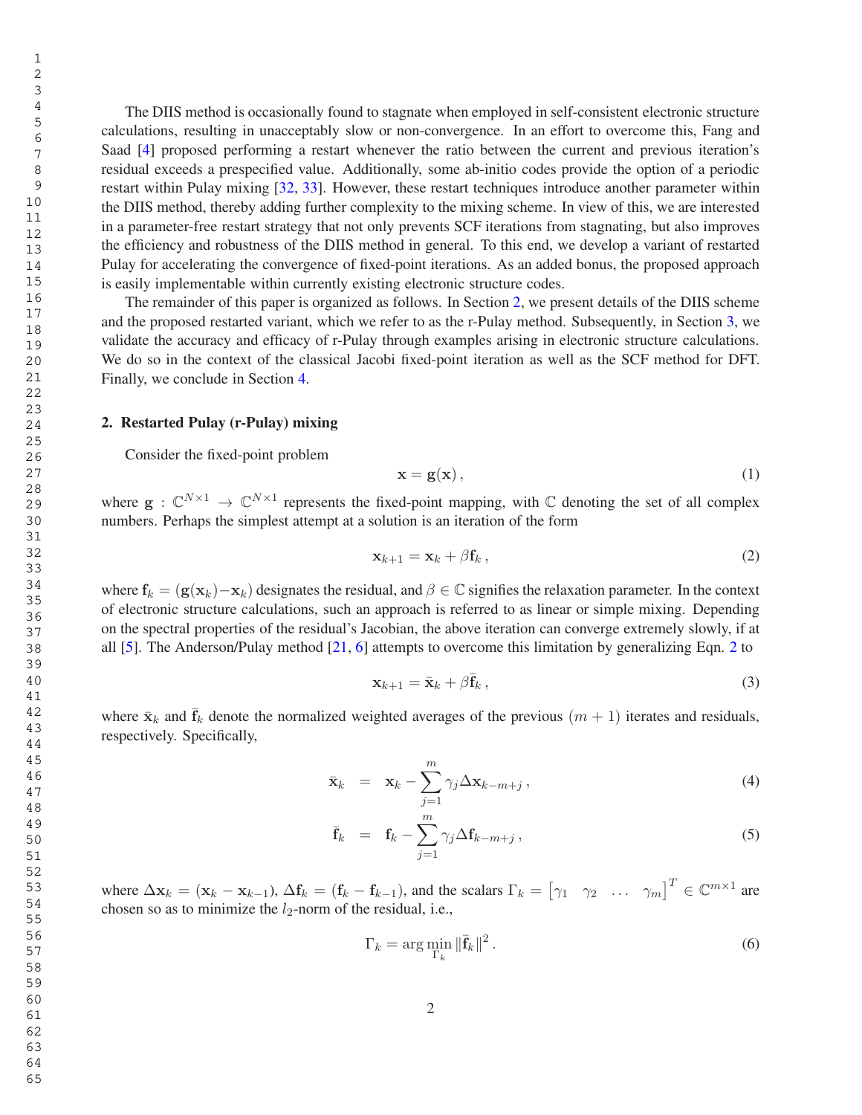The DIIS method is occasionally found to stagnate when employed in self-consistent electronic structure calculations, resulting in unacceptably slow or non-convergence. In an effort to overcome this, Fang and Saad [4] proposed performing a restart whenever the ratio between the current and previous iteration's residual exceeds a prespecified value. Additionally, some ab-initio codes provide the option of a periodic restart within Pulay mixing [32, 33]. However, these restart techniques introduce another parameter within the DIIS method, thereby adding further complexity to the mixing scheme. In view of this, we are interested in a parameter-free restart strategy that not only prevents SCF iterations from stagnating, but also improves the efficiency and robustness of the DIIS method in general. To this end, we develop a variant of restarted Pulay for accelerating the convergence of fixed-point iterations. As an added bonus, the proposed approach is easily implementable within currently existing electronic structure codes.

The remainder of this paper is organized as follows. In Section 2, we present details of the DIIS scheme and the proposed restarted variant, which we refer to as the r-Pulay method. Subsequently, in Section 3, we validate the accuracy and efficacy of r-Pulay through examples arising in electronic structure calculations. We do so in the context of the classical Jacobi fixed-point iteration as well as the SCF method for DFT. Finally, we conclude in Section 4.

## 2. Restarted Pulay (r-Pulay) mixing

Consider the fixed-point problem

$$
\mathbf{x} = \mathbf{g}(\mathbf{x}),\tag{1}
$$

where  $g: \mathbb{C}^{N \times 1} \to \mathbb{C}^{N \times 1}$  represents the fixed-point mapping, with  $\mathbb C$  denoting the set of all complex numbers. Perhaps the simplest attempt at a solution is an iteration of the form

$$
\mathbf{x}_{k+1} = \mathbf{x}_k + \beta \mathbf{f}_k \,, \tag{2}
$$

where  $f_k = (g(x_k) - x_k)$  designates the residual, and  $\beta \in \mathbb{C}$  signifies the relaxation parameter. In the context of electronic structure calculations, such an approach is referred to as linear or simple mixing. Depending on the spectral properties of the residual's Jacobian, the above iteration can converge extremely slowly, if at all [5]. The Anderson/Pulay method [21, 6] attempts to overcome this limitation by generalizing Eqn. 2 to

$$
\mathbf{x}_{k+1} = \bar{\mathbf{x}}_k + \beta \bar{\mathbf{f}}_k \,,\tag{3}
$$

where  $\bar{x}_k$  and  $\bar{f}_k$  denote the normalized weighted averages of the previous  $(m + 1)$  iterates and residuals, respectively. Specifically,

$$
\bar{\mathbf{x}}_k = \mathbf{x}_k - \sum_{j=1}^m \gamma_j \Delta \mathbf{x}_{k-m+j}, \qquad (4)
$$

$$
\bar{\mathbf{f}}_k = \mathbf{f}_k - \sum_{j=1}^m \gamma_j \Delta \mathbf{f}_{k-m+j}, \qquad (5)
$$

where  $\Delta \mathbf{x}_k = (\mathbf{x}_k - \mathbf{x}_{k-1}), \Delta \mathbf{f}_k = (\mathbf{f}_k - \mathbf{f}_{k-1}),$  and the scalars  $\Gamma_k = [\gamma_1 \quad \gamma_2 \quad \dots \quad \gamma_m]^T \in \mathbb{C}^{m \times 1}$  are chosen so as to minimize the  $l_2$ -norm of the residual, i.e.,

$$
\Gamma_k = \arg\min_{\Gamma_k} \|\bar{\mathbf{f}}_k\|^2. \tag{6}
$$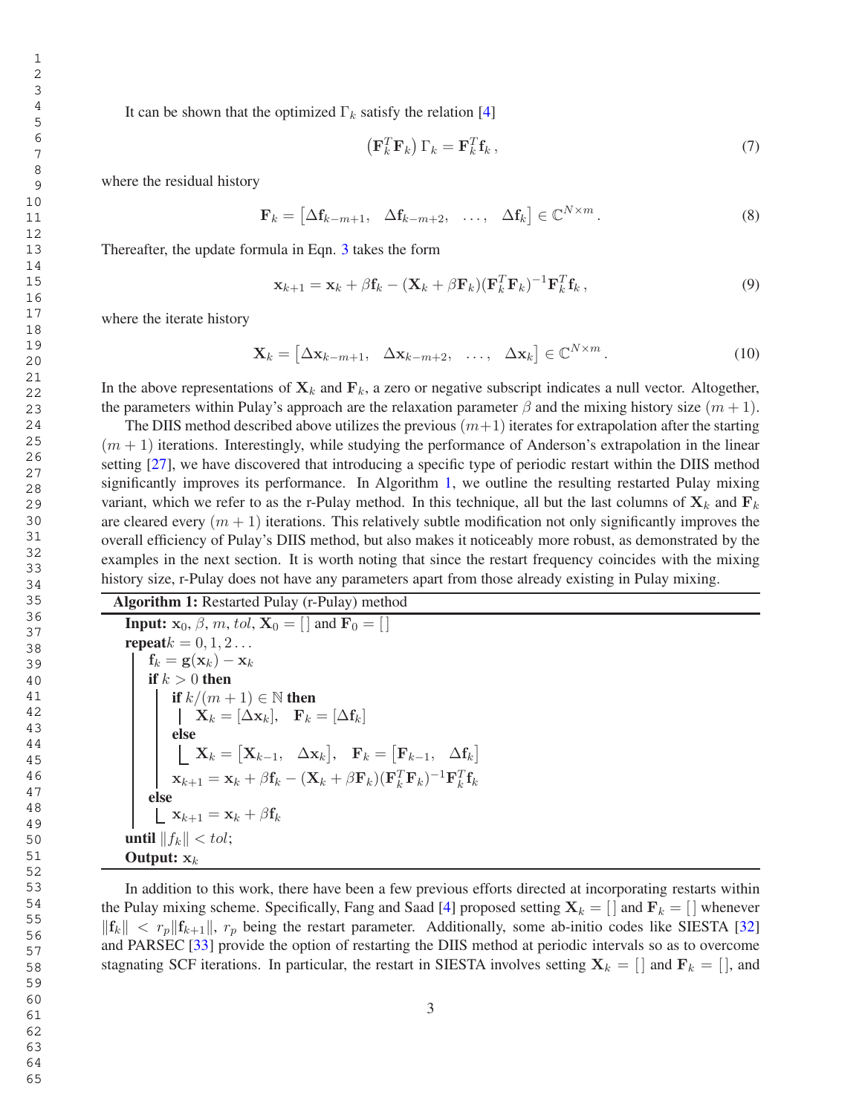It can be shown that the optimized  $\Gamma_k$  satisfy the relation [4]

$$
\left(\mathbf{F}_k^T \mathbf{F}_k\right) \Gamma_k = \mathbf{F}_k^T \mathbf{f}_k \,,\tag{7}
$$

where the residual history

$$
\mathbf{F}_k = \begin{bmatrix} \Delta \mathbf{f}_{k-m+1}, & \Delta \mathbf{f}_{k-m+2}, & \dots, & \Delta \mathbf{f}_k \end{bmatrix} \in \mathbb{C}^{N \times m} . \tag{8}
$$

Thereafter, the update formula in Eqn. 3 takes the form

$$
\mathbf{x}_{k+1} = \mathbf{x}_k + \beta \mathbf{f}_k - (\mathbf{X}_k + \beta \mathbf{F}_k)(\mathbf{F}_k^T \mathbf{F}_k)^{-1} \mathbf{F}_k^T \mathbf{f}_k, \qquad (9)
$$

where the iterate history

$$
\mathbf{X}_k = \begin{bmatrix} \Delta \mathbf{x}_{k-m+1}, & \Delta \mathbf{x}_{k-m+2}, & \dots, & \Delta \mathbf{x}_k \end{bmatrix} \in \mathbb{C}^{N \times m}.
$$
 (10)

In the above representations of  $X_k$  and  $F_k$ , a zero or negative subscript indicates a null vector. Altogether, the parameters within Pulay's approach are the relaxation parameter  $\beta$  and the mixing history size  $(m + 1)$ .

The DIIS method described above utilizes the previous  $(m+1)$  iterates for extrapolation after the starting  $(m + 1)$  iterations. Interestingly, while studying the performance of Anderson's extrapolation in the linear setting [27], we have discovered that introducing a specific type of periodic restart within the DIIS method significantly improves its performance. In Algorithm 1, we outline the resulting restarted Pulay mixing variant, which we refer to as the r-Pulay method. In this technique, all but the last columns of  $X_k$  and  $F_k$ are cleared every  $(m + 1)$  iterations. This relatively subtle modification not only significantly improves the overall efficiency of Pulay's DIIS method, but also makes it noticeably more robust, as demonstrated by the examples in the next section. It is worth noting that since the restart frequency coincides with the mixing history size, r-Pulay does not have any parameters apart from those already existing in Pulay mixing.

Algorithm 1: Restarted Pulay (r-Pulay) method **Input:**  $\mathbf{x}_0$ ,  $\beta$ ,  $m$ ,  $tol$ ,  $\mathbf{X}_0 = [\ ]$  and  $\mathbf{F}_0 = [\ ]$ repeat $k = 0, 1, 2...$  $\mathbf{f}_k = \mathbf{g}(\mathbf{x}_k) - \mathbf{x}_k$ if  $k > 0$  then if  $k/(m+1) \in \mathbb{N}$  then  $\mathbf{X}_k = [\Delta\mathbf{x}_k], \quad \mathbf{F}_k = [\Delta\mathbf{f}_k]$ else  $\mathbf{X}_k = \begin{bmatrix} \mathbf{X}_{k-1}, & \Delta \mathbf{x}_k \end{bmatrix}, \quad \mathbf{F}_k = \begin{bmatrix} \mathbf{F}_{k-1}, & \Delta \mathbf{f}_k \end{bmatrix}$  $\mathbf{x}_{k+1} = \mathbf{x}_k + \beta \mathbf{f}_k - (\mathbf{X}_k + \beta \mathbf{F}_k)(\mathbf{F}_k^T \mathbf{F}_k)^{-1} \mathbf{F}_k^T \mathbf{f}_k$ else  $\mathbf{x}_{k+1} = \mathbf{x}_k + \beta \mathbf{f}_k$ until  $||f_k|| < tol$ ; Output:  $x_k$ 

In addition to this work, there have been a few previous efforts directed at incorporating restarts within the Pulay mixing scheme. Specifically, Fang and Saad [4] proposed setting  $X_k = \{ \mid \text{and } F_k = \{ \mid \text{whenever} \} \}$  $||\mathbf{f}_k|| < r_p ||\mathbf{f}_{k+1}||$ ,  $r_p$  being the restart parameter. Additionally, some ab-initio codes like SIESTA [32] and PARSEC [33] provide the option of restarting the DIIS method at periodic intervals so as to overcome stagnating SCF iterations. In particular, the restart in SIESTA involves setting  $X_k = []$  and  $F_k = []$ , and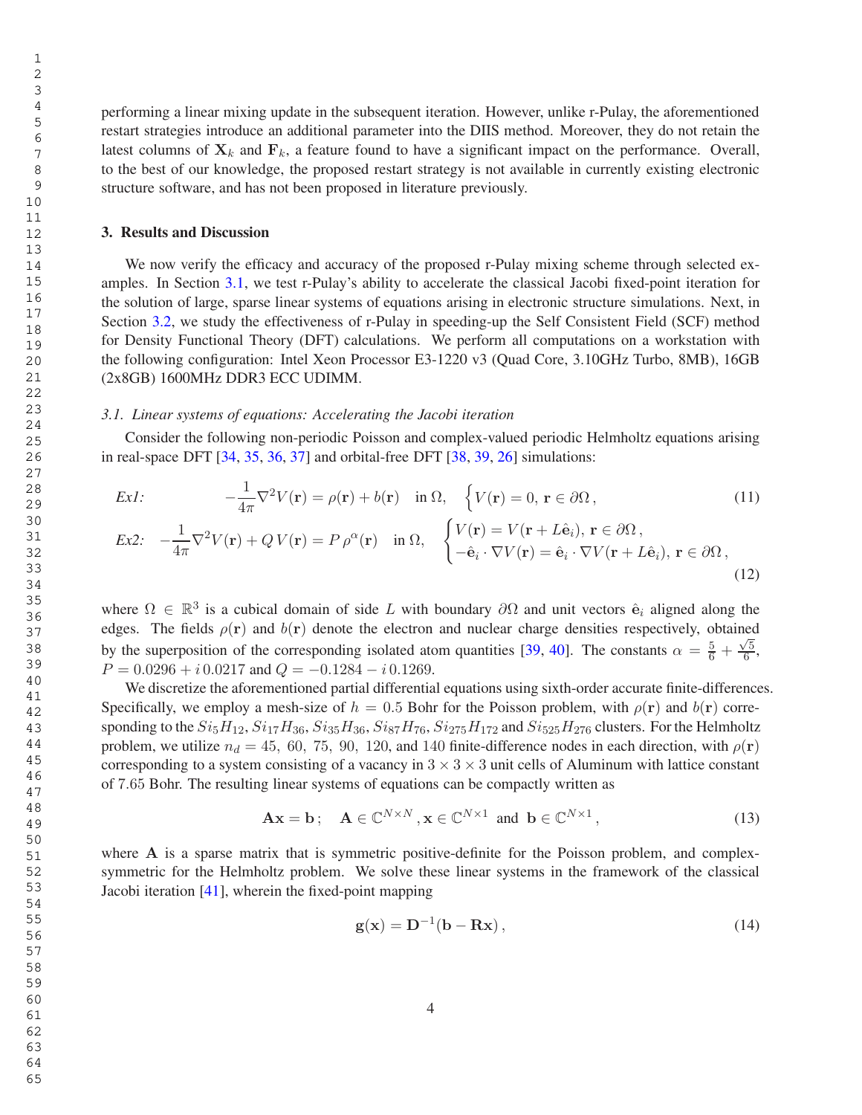65

performing a linear mixing update in the subsequent iteration. However, unlike r-Pulay, the aforementioned restart strategies introduce an additional parameter into the DIIS method. Moreover, they do not retain the latest columns of  $X_k$  and  $F_k$ , a feature found to have a significant impact on the performance. Overall, to the best of our knowledge, the proposed restart strategy is not available in currently existing electronic structure software, and has not been proposed in literature previously.

# 3. Results and Discussion

We now verify the efficacy and accuracy of the proposed r-Pulay mixing scheme through selected examples. In Section 3.1, we test r-Pulay's ability to accelerate the classical Jacobi fixed-point iteration for the solution of large, sparse linear systems of equations arising in electronic structure simulations. Next, in Section 3.2, we study the effectiveness of r-Pulay in speeding-up the Self Consistent Field (SCF) method for Density Functional Theory (DFT) calculations. We perform all computations on a workstation with the following configuration: Intel Xeon Processor E3-1220 v3 (Quad Core, 3.10GHz Turbo, 8MB), 16GB (2x8GB) 1600MHz DDR3 ECC UDIMM.

#### *3.1. Linear systems of equations: Accelerating the Jacobi iteration*

Consider the following non-periodic Poisson and complex-valued periodic Helmholtz equations arising in real-space DFT  $[34, 35, 36, 37]$  and orbital-free DFT  $[38, 39, 26]$  simulations:

$$
Ex1: \t -\frac{1}{4\pi} \nabla^2 V(\mathbf{r}) = \rho(\mathbf{r}) + b(\mathbf{r}) \quad \text{in } \Omega, \quad \left\{ V(\mathbf{r}) = 0, \, \mathbf{r} \in \partial\Omega, \right\}
$$
\n
$$
Ex2: \t -\frac{1}{4\pi} \nabla^2 V(\mathbf{r}) + QV(\mathbf{r}) = P \rho^{\alpha}(\mathbf{r}) \quad \text{in } \Omega, \quad \left\{ \begin{aligned} V(\mathbf{r}) &= V(\mathbf{r} + L\hat{\mathbf{e}}_i), \, \mathbf{r} \in \partial\Omega, \\ -\hat{\mathbf{e}}_i \cdot \nabla V(\mathbf{r}) &= \hat{\mathbf{e}}_i \cdot \nabla V(\mathbf{r} + L\hat{\mathbf{e}}_i), \, \mathbf{r} \in \partial\Omega, \end{aligned} \right.
$$
\n
$$
(11)
$$

(12)  
where 
$$
Ω ∈ ℝ3
$$
 is a cubical domain of side *L* with boundary  $∂Ω$  and unit vectors  $\hat{\mathbf{e}}_i$  aligned along the  
edges. The fields  $ρ(\mathbf{r})$  and  $b(\mathbf{r})$  denote the electron and nuclear charge densities respectively, obtained

by the superposition of the corresponding isolated atom quantities [39, 40]. The constants  $\alpha = \frac{5}{6} + \frac{\sqrt{5}}{6}$  $\frac{2}{6}$ ,  $P = 0.0296 + i \cdot 0.0217$  and  $Q = -0.1284 - i \cdot 0.1269$ .

We discretize the aforementioned partial differential equations using sixth-order accurate finite-differences. Specifically, we employ a mesh-size of  $h = 0.5$  Bohr for the Poisson problem, with  $\rho(\mathbf{r})$  and  $b(\mathbf{r})$  corresponding to the  $Si_5H_{12}$ ,  $Si_{17}H_{36}$ ,  $Si_{35}H_{36}$ ,  $Si_{87}H_{76}$ ,  $Si_{275}H_{172}$  and  $Si_{525}H_{276}$  clusters. For the Helmholtz problem, we utilize  $n_d = 45, 60, 75, 90, 120,$  and 140 finite-difference nodes in each direction, with  $\rho(\mathbf{r})$ corresponding to a system consisting of a vacancy in  $3 \times 3 \times 3$  unit cells of Aluminum with lattice constant of 7.65 Bohr. The resulting linear systems of equations can be compactly written as

$$
\mathbf{A}\mathbf{x} = \mathbf{b}; \quad \mathbf{A} \in \mathbb{C}^{N \times N}, \mathbf{x} \in \mathbb{C}^{N \times 1} \text{ and } \mathbf{b} \in \mathbb{C}^{N \times 1}, \tag{13}
$$

where A is a sparse matrix that is symmetric positive-definite for the Poisson problem, and complexsymmetric for the Helmholtz problem. We solve these linear systems in the framework of the classical Jacobi iteration [41], wherein the fixed-point mapping

$$
\mathbf{g}(\mathbf{x}) = \mathbf{D}^{-1}(\mathbf{b} - \mathbf{R}\mathbf{x}),\tag{14}
$$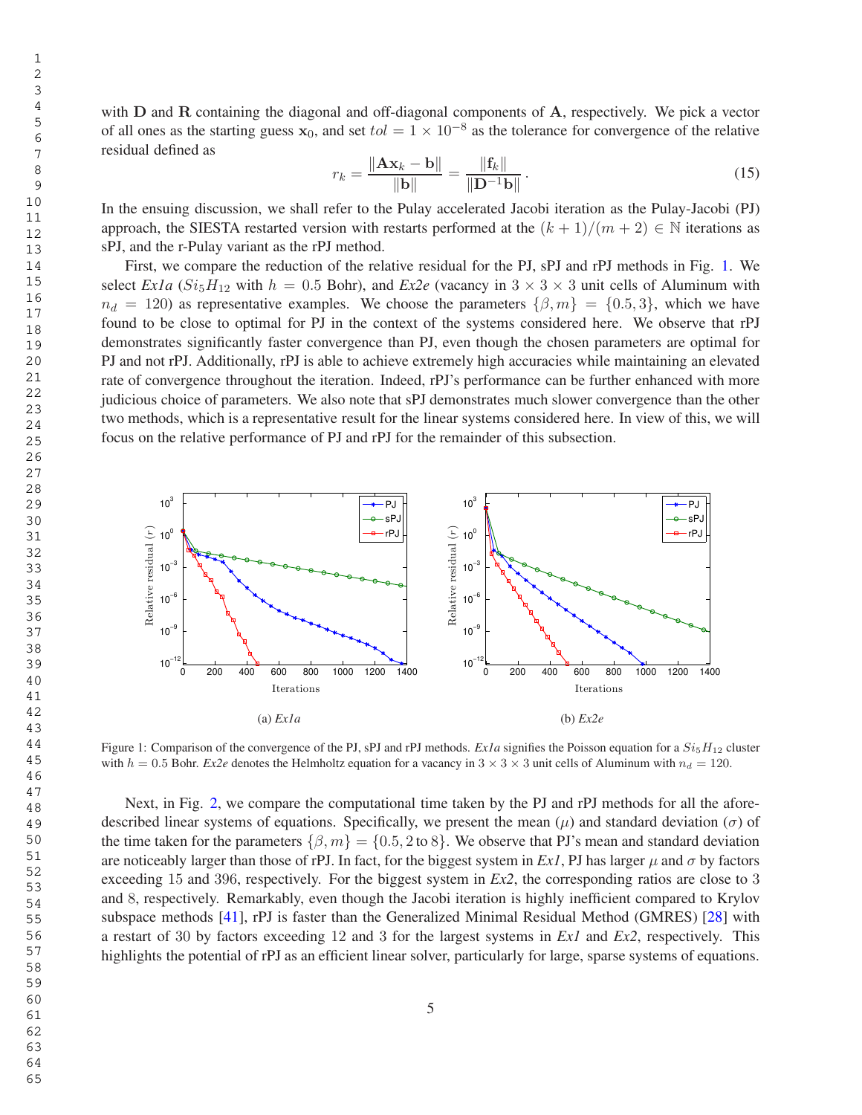with D and R containing the diagonal and off-diagonal components of A, respectively. We pick a vector of all ones as the starting guess  $x_0$ , and set  $tol = 1 \times 10^{-8}$  as the tolerance for convergence of the relative residual defined as

$$
r_k = \frac{\|\mathbf{A}\mathbf{x}_k - \mathbf{b}\|}{\|\mathbf{b}\|} = \frac{\|\mathbf{f}_k\|}{\|\mathbf{D}^{-1}\mathbf{b}\|}.
$$
 (15)

In the ensuing discussion, we shall refer to the Pulay accelerated Jacobi iteration as the Pulay-Jacobi (PJ) approach, the SIESTA restarted version with restarts performed at the  $(k + 1)/(m + 2) \in \mathbb{N}$  iterations as sPJ, and the r-Pulay variant as the rPJ method.

First, we compare the reduction of the relative residual for the PJ, sPJ and rPJ methods in Fig. 1. We select *Ex1a* ( $Si_5H_{12}$  with  $h = 0.5$  Bohr), and *Ex2e* (vacancy in  $3 \times 3 \times 3$  unit cells of Aluminum with  $n_d = 120$ ) as representative examples. We choose the parameters  $\{\beta, m\} = \{0.5, 3\}$ , which we have found to be close to optimal for PJ in the context of the systems considered here. We observe that rPJ demonstrates significantly faster convergence than PJ, even though the chosen parameters are optimal for PJ and not rPJ. Additionally, rPJ is able to achieve extremely high accuracies while maintaining an elevated rate of convergence throughout the iteration. Indeed, rPJ's performance can be further enhanced with more judicious choice of parameters. We also note that sPJ demonstrates much slower convergence than the other two methods, which is a representative result for the linear systems considered here. In view of this, we will focus on the relative performance of PJ and rPJ for the remainder of this subsection.



Figure 1: Comparison of the convergence of the PJ, sPJ and rPJ methods. *Ex1a* signifies the Poisson equation for a  $Si<sub>5</sub>H<sub>12</sub>$  cluster with  $h = 0.5$  Bohr. *Ex2e* denotes the Helmholtz equation for a vacancy in  $3 \times 3 \times 3$  unit cells of Aluminum with  $n_d = 120$ .

Next, in Fig. 2, we compare the computational time taken by the PJ and rPJ methods for all the aforedescribed linear systems of equations. Specifically, we present the mean  $(\mu)$  and standard deviation  $(\sigma)$  of the time taken for the parameters  $\{\beta, m\} = \{0.5, 2 \text{ to } 8\}$ . We observe that PJ's mean and standard deviation are noticeably larger than those of rPJ. In fact, for the biggest system in *Ex1*, PJ has larger  $\mu$  and  $\sigma$  by factors exceeding 15 and 396, respectively. For the biggest system in *Ex2*, the corresponding ratios are close to 3 and 8, respectively. Remarkably, even though the Jacobi iteration is highly inefficient compared to Krylov subspace methods [41], rPJ is faster than the Generalized Minimal Residual Method (GMRES) [28] with a restart of 30 by factors exceeding 12 and 3 for the largest systems in *Ex1* and *Ex2*, respectively. This highlights the potential of rPJ as an efficient linear solver, particularly for large, sparse systems of equations.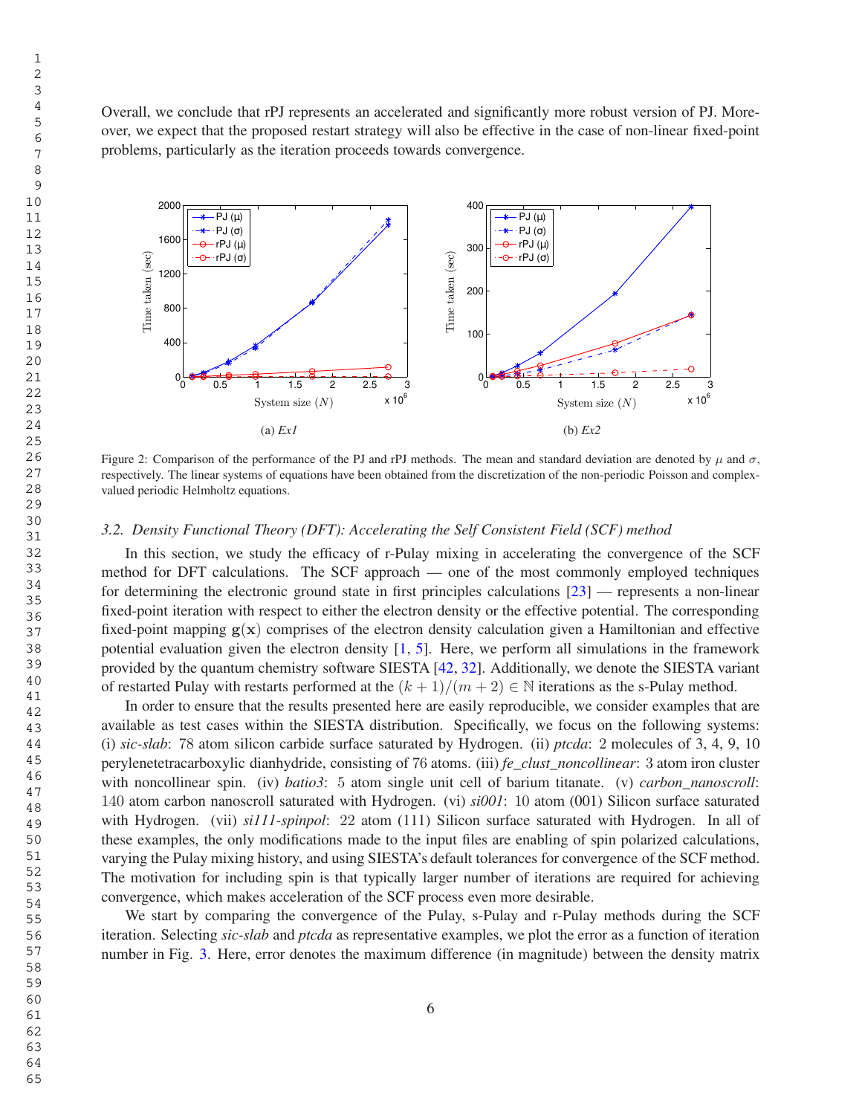Overall, we conclude that rPJ represents an accelerated and significantly more robust version of PJ. Moreover, we expect that the proposed restart strategy will also be effective in the case of non-linear fixed-point problems, particularly as the iteration proceeds towards convergence.



Figure 2: Comparison of the performance of the PJ and rPJ methods. The mean and standard deviation are denoted by  $\mu$  and  $\sigma$ , respectively. The linear systems of equations have been obtained from the discretization of the non-periodic Poisson and complexvalued periodic Helmholtz equations.

#### *3.2. Density Functional Theory (DFT): Accelerating the Self Consistent Field (SCF) method*

In this section, we study the efficacy of r-Pulay mixing in accelerating the convergence of the SCF method for DFT calculations. The SCF approach — one of the most commonly employed techniques for determining the electronic ground state in first principles calculations [23] — represents a non-linear fixed-point iteration with respect to either the electron density or the effective potential. The corresponding fixed-point mapping  $g(x)$  comprises of the electron density calculation given a Hamiltonian and effective potential evaluation given the electron density [1, 5]. Here, we perform all simulations in the framework provided by the quantum chemistry software SIESTA [42, 32]. Additionally, we denote the SIESTA variant of restarted Pulay with restarts performed at the  $(k + 1)/(m + 2) \in \mathbb{N}$  iterations as the s-Pulay method.

In order to ensure that the results presented here are easily reproducible, we consider examples that are available as test cases within the SIESTA distribution. Specifically, we focus on the following systems: (i) *sic-slab*: 78 atom silicon carbide surface saturated by Hydrogen. (ii) *ptcda*: 2 molecules of 3, 4, 9, 10 perylenetetracarboxylic dianhydride, consisting of 76 atoms. (iii) *fe\_clust\_noncollinear*: 3 atom iron cluster with noncollinear spin. (iv) *batio3*: 5 atom single unit cell of barium titanate. (v) *carbon\_nanoscroll*: atom carbon nanoscroll saturated with Hydrogen. (vi) *si001*: 10 atom (001) Silicon surface saturated with Hydrogen. (vii) *si111-spinpol*: 22 atom (111) Silicon surface saturated with Hydrogen. In all of these examples, the only modifications made to the input files are enabling of spin polarized calculations, varying the Pulay mixing history, and using SIESTA's default tolerances for convergence of the SCF method. The motivation for including spin is that typically larger number of iterations are required for achieving convergence, which makes acceleration of the SCF process even more desirable.

We start by comparing the convergence of the Pulay, s-Pulay and r-Pulay methods during the SCF iteration. Selecting *sic-slab* and *ptcda* as representative examples, we plot the error as a function of iteration number in Fig. 3. Here, error denotes the maximum difference (in magnitude) between the density matrix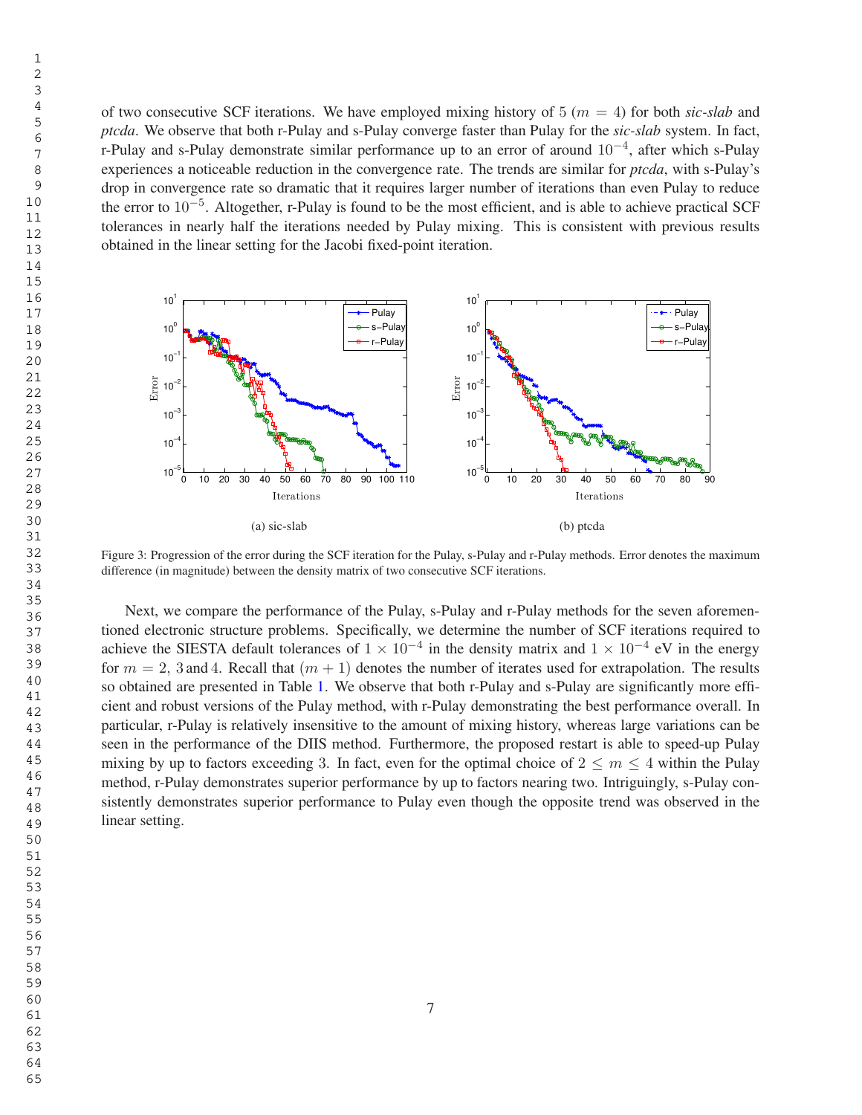of two consecutive SCF iterations. We have employed mixing history of  $5 (m = 4)$  for both *sic-slab* and *ptcda*. We observe that both r-Pulay and s-Pulay converge faster than Pulay for the *sic-slab* system. In fact, r-Pulay and s-Pulay demonstrate similar performance up to an error of around 10−<sup>4</sup> , after which s-Pulay experiences a noticeable reduction in the convergence rate. The trends are similar for *ptcda*, with s-Pulay's drop in convergence rate so dramatic that it requires larger number of iterations than even Pulay to reduce the error to 10−<sup>5</sup> . Altogether, r-Pulay is found to be the most efficient, and is able to achieve practical SCF tolerances in nearly half the iterations needed by Pulay mixing. This is consistent with previous results obtained in the linear setting for the Jacobi fixed-point iteration.



Figure 3: Progression of the error during the SCF iteration for the Pulay, s-Pulay and r-Pulay methods. Error denotes the maximum difference (in magnitude) between the density matrix of two consecutive SCF iterations.

Next, we compare the performance of the Pulay, s-Pulay and r-Pulay methods for the seven aforementioned electronic structure problems. Specifically, we determine the number of SCF iterations required to achieve the SIESTA default tolerances of  $1 \times 10^{-4}$  in the density matrix and  $1 \times 10^{-4}$  eV in the energy for  $m = 2$ , 3 and 4. Recall that  $(m + 1)$  denotes the number of iterates used for extrapolation. The results so obtained are presented in Table 1. We observe that both r-Pulay and s-Pulay are significantly more efficient and robust versions of the Pulay method, with r-Pulay demonstrating the best performance overall. In particular, r-Pulay is relatively insensitive to the amount of mixing history, whereas large variations can be seen in the performance of the DIIS method. Furthermore, the proposed restart is able to speed-up Pulay mixing by up to factors exceeding 3. In fact, even for the optimal choice of  $2 \le m \le 4$  within the Pulay method, r-Pulay demonstrates superior performance by up to factors nearing two. Intriguingly, s-Pulay consistently demonstrates superior performance to Pulay even though the opposite trend was observed in the linear setting.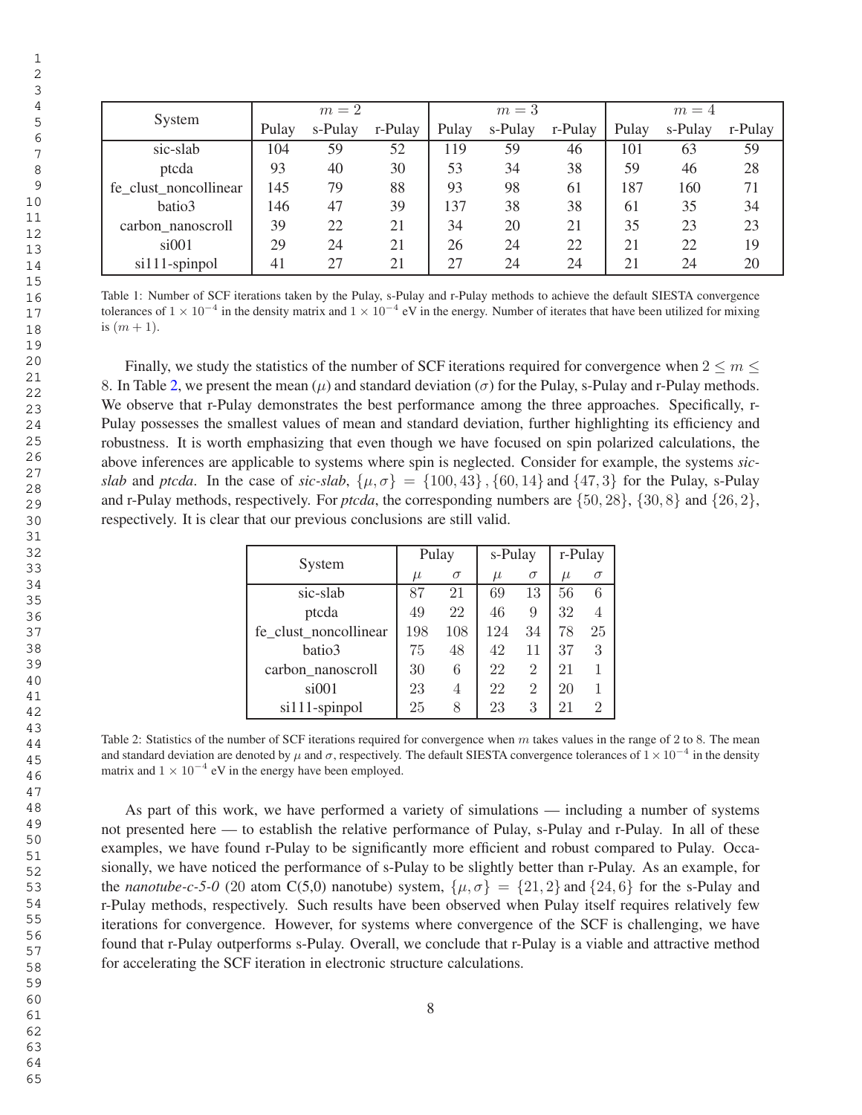| System<br>sic-slab<br>ptcda | $m=2$ |         |         | $m=3$ |         |         | $m=4$ |         |         |
|-----------------------------|-------|---------|---------|-------|---------|---------|-------|---------|---------|
|                             | Pulay | s-Pulay | r-Pulay | Pulay | s-Pulay | r-Pulay | Pulay | s-Pulay | r-Pulay |
|                             | 104   | 59      | 52      | 119   | 59      | 46      | 101   | 63      | 59      |
|                             | 93    | 40      | 30      | 53    | 34      | 38      | 59    | 46      | 28      |
| fe_clust_noncollinear       | 145   | 79      | 88      | 93    | 98      | 61      | 187   | 160     | 71      |
| batio3                      | 146   | 47      | 39      | 137   | 38      | 38      | 61    | 35      | 34      |
| carbon_nanoscroll           | 39    | 22      | 21      | 34    | 20      | 21      | 35    | 23      | 23      |
| $si$ 001                    | 29    | 24      | 21      | 26    | 24      | 22      | 21    | 22      | 19      |
| $si111$ -spinpol            | 41    | 27      | 21      | 27    | 24      | 24      | 21    | 24      | 20      |

Table 1: Number of SCF iterations taken by the Pulay, s-Pulay and r-Pulay methods to achieve the default SIESTA convergence tolerances of  $1 \times 10^{-4}$  in the density matrix and  $1 \times 10^{-4}$  eV in the energy. Number of iterates that have been utilized for mixing is  $(m + 1)$ .

Finally, we study the statistics of the number of SCF iterations required for convergence when  $2 \le m \le$ 8. In Table 2, we present the mean  $(\mu)$  and standard deviation  $(\sigma)$  for the Pulay, s-Pulay and r-Pulay methods. We observe that r-Pulay demonstrates the best performance among the three approaches. Specifically, r-Pulay possesses the smallest values of mean and standard deviation, further highlighting its efficiency and robustness. It is worth emphasizing that even though we have focused on spin polarized calculations, the above inferences are applicable to systems where spin is neglected. Consider for example, the systems *sicslab* and *ptcda*. In the case of *sic-slab*,  $\{\mu, \sigma\} = \{100, 43\}$ ,  $\{60, 14\}$  and  $\{47, 3\}$  for the Pulay, s-Pulay and r-Pulay methods, respectively. For *ptcda*, the corresponding numbers are {50, 28}, {30, 8} and {26, 2}, respectively. It is clear that our previous conclusions are still valid.

| System                | Pulay |          | s-Pulay |                | r-Pulay |          |
|-----------------------|-------|----------|---------|----------------|---------|----------|
|                       | $\mu$ | $\sigma$ | $\mu$   | $\sigma$       | $\mu$   | $\sigma$ |
| sic-slab              | 87    | 21       | 69      | 13             | 56      | 6        |
| ptcda                 | 49    | 22       | 46      | 9              | 32      |          |
| fe_clust_noncollinear | 198   | 108      | 124     | 34             | 78      | 25       |
| batio3                | 75    | 48       | 42      | 11             | 37      | 3        |
| carbon nanoscroll     | 30    | 6        | 22      | $\overline{2}$ | 21      |          |
| $si$ 001              | 23    | 4        | 22      | $\overline{2}$ | 20      |          |
| $si111$ -spinpol      | 25    | 8        | 23      | 3              | 21      | 2        |

Table 2: Statistics of the number of SCF iterations required for convergence when  $m$  takes values in the range of 2 to 8. The mean and standard deviation are denoted by  $\mu$  and  $\sigma$ , respectively. The default SIESTA convergence tolerances of  $1 \times 10^{-4}$  in the density matrix and  $1 \times 10^{-4}$  eV in the energy have been employed.

As part of this work, we have performed a variety of simulations — including a number of systems not presented here — to establish the relative performance of Pulay, s-Pulay and r-Pulay. In all of these examples, we have found r-Pulay to be significantly more efficient and robust compared to Pulay. Occasionally, we have noticed the performance of s-Pulay to be slightly better than r-Pulay. As an example, for the *nanotube-c-5-0* (20 atom C(5,0) nanotube) system,  $\{\mu, \sigma\} = \{21, 2\}$  and  $\{24, 6\}$  for the s-Pulay and r-Pulay methods, respectively. Such results have been observed when Pulay itself requires relatively few iterations for convergence. However, for systems where convergence of the SCF is challenging, we have found that r-Pulay outperforms s-Pulay. Overall, we conclude that r-Pulay is a viable and attractive method for accelerating the SCF iteration in electronic structure calculations.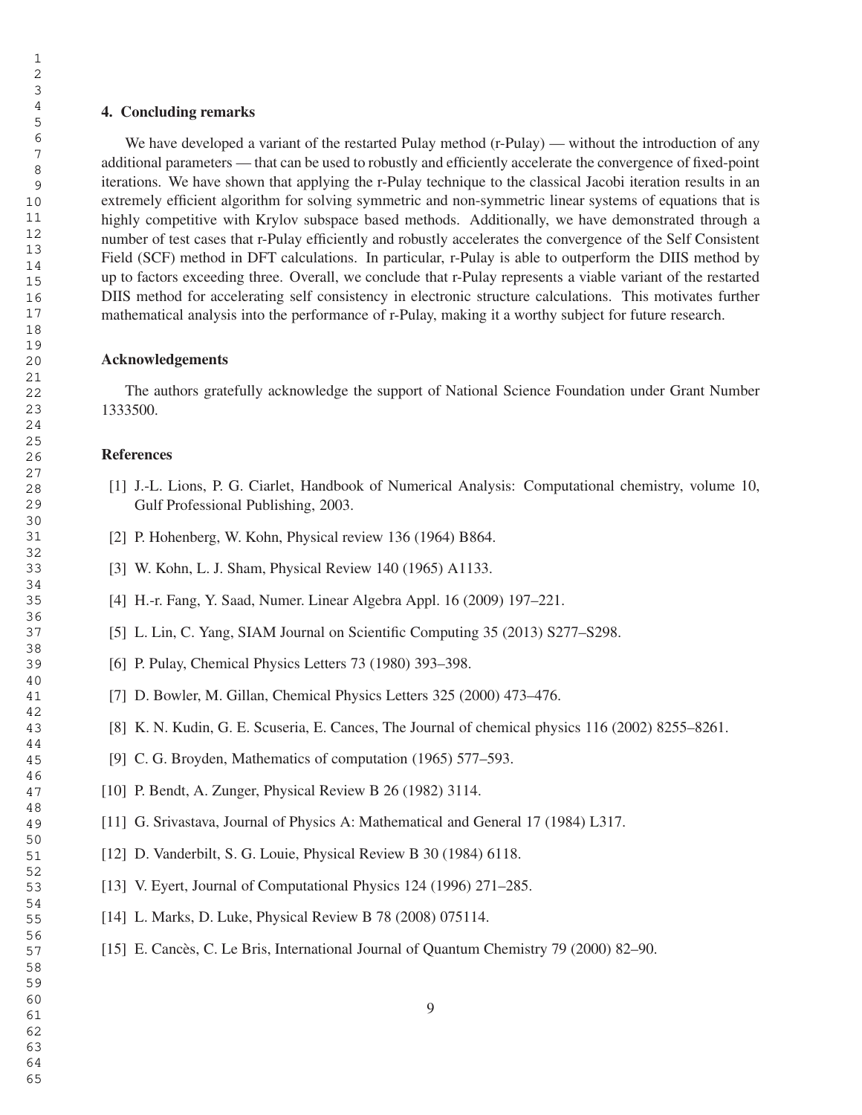# 4. Concluding remarks

We have developed a variant of the restarted Pulay method (r-Pulay) — without the introduction of any additional parameters — that can be used to robustly and efficiently accelerate the convergence of fixed-point iterations. We have shown that applying the r-Pulay technique to the classical Jacobi iteration results in an extremely efficient algorithm for solving symmetric and non-symmetric linear systems of equations that is highly competitive with Krylov subspace based methods. Additionally, we have demonstrated through a number of test cases that r-Pulay efficiently and robustly accelerates the convergence of the Self Consistent Field (SCF) method in DFT calculations. In particular, r-Pulay is able to outperform the DIIS method by up to factors exceeding three. Overall, we conclude that r-Pulay represents a viable variant of the restarted DIIS method for accelerating self consistency in electronic structure calculations. This motivates further mathematical analysis into the performance of r-Pulay, making it a worthy subject for future research.

#### Acknowledgements

The authors gratefully acknowledge the support of National Science Foundation under Grant Number 1333500.

## **References**

- [1] J.-L. Lions, P. G. Ciarlet, Handbook of Numerical Analysis: Computational chemistry, volume 10, Gulf Professional Publishing, 2003.
- [2] P. Hohenberg, W. Kohn, Physical review 136 (1964) B864.
- [3] W. Kohn, L. J. Sham, Physical Review 140 (1965) A1133.
- [4] H.-r. Fang, Y. Saad, Numer. Linear Algebra Appl. 16 (2009) 197–221.
- [5] L. Lin, C. Yang, SIAM Journal on Scientific Computing 35 (2013) S277–S298.
- [6] P. Pulay, Chemical Physics Letters 73 (1980) 393-398.
- [7] D. Bowler, M. Gillan, Chemical Physics Letters 325 (2000) 473–476.
- [8] K. N. Kudin, G. E. Scuseria, E. Cances, The Journal of chemical physics 116 (2002) 8255–8261.
- [9] C. G. Broyden, Mathematics of computation (1965) 577–593.
- [10] P. Bendt, A. Zunger, Physical Review B 26 (1982) 3114.
- [11] G. Srivastava, Journal of Physics A: Mathematical and General 17 (1984) L317.
- [12] D. Vanderbilt, S. G. Louie, Physical Review B 30 (1984) 6118.
- [13] V. Eyert, Journal of Computational Physics 124 (1996) 271–285.
- [14] L. Marks, D. Luke, Physical Review B 78 (2008) 075114.
- [15] E. Cancès, C. Le Bris, International Journal of Quantum Chemistry 79 (2000) 82–90.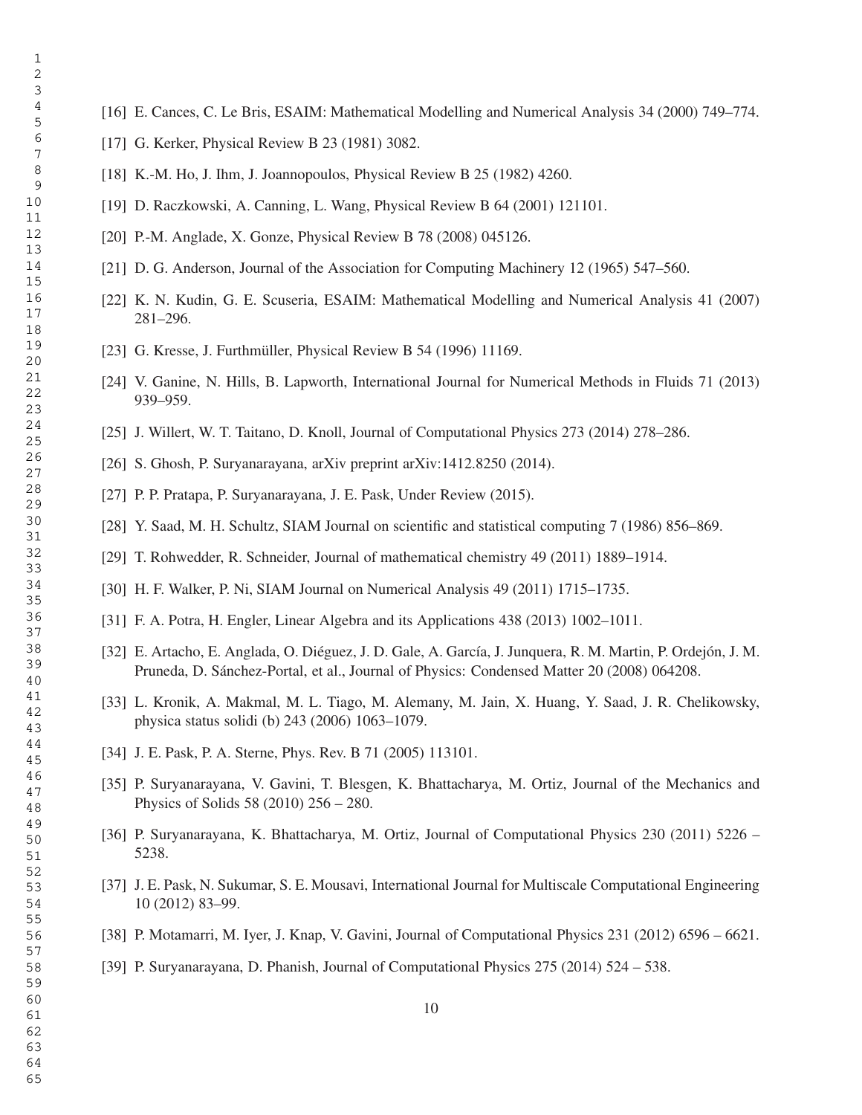- [16] E. Cances, C. Le Bris, ESAIM: Mathematical Modelling and Numerical Analysis 34 (2000) 749–774.
- [17] G. Kerker, Physical Review B 23 (1981) 3082.
- [18] K.-M. Ho, J. Ihm, J. Joannopoulos, Physical Review B 25 (1982) 4260.
- [19] D. Raczkowski, A. Canning, L. Wang, Physical Review B 64 (2001) 121101.
- [20] P.-M. Anglade, X. Gonze, Physical Review B 78 (2008) 045126.
- [21] D. G. Anderson, Journal of the Association for Computing Machinery 12 (1965) 547–560.
- [22] K. N. Kudin, G. E. Scuseria, ESAIM: Mathematical Modelling and Numerical Analysis 41 (2007) 281–296.
- [23] G. Kresse, J. Furthmüller, Physical Review B 54 (1996) 11169.
- [24] V. Ganine, N. Hills, B. Lapworth, International Journal for Numerical Methods in Fluids 71 (2013) 939–959.
- [25] J. Willert, W. T. Taitano, D. Knoll, Journal of Computational Physics 273 (2014) 278–286.
- [26] S. Ghosh, P. Suryanarayana, arXiv preprint arXiv:1412.8250 (2014).
- [27] P. P. Pratapa, P. Suryanarayana, J. E. Pask, Under Review (2015).
- [28] Y. Saad, M. H. Schultz, SIAM Journal on scientific and statistical computing 7 (1986) 856–869.
- [29] T. Rohwedder, R. Schneider, Journal of mathematical chemistry 49 (2011) 1889–1914.
- [30] H. F. Walker, P. Ni, SIAM Journal on Numerical Analysis 49 (2011) 1715–1735.
- [31] F. A. Potra, H. Engler, Linear Algebra and its Applications 438 (2013) 1002–1011.
- [32] E. Artacho, E. Anglada, O. Diéguez, J. D. Gale, A. García, J. Junquera, R. M. Martin, P. Ordejón, J. M. Pruneda, D. Sánchez-Portal, et al., Journal of Physics: Condensed Matter 20 (2008) 064208.
- [33] L. Kronik, A. Makmal, M. L. Tiago, M. Alemany, M. Jain, X. Huang, Y. Saad, J. R. Chelikowsky, physica status solidi (b) 243 (2006) 1063–1079.
- [34] J. E. Pask, P. A. Sterne, Phys. Rev. B 71 (2005) 113101.
- [35] P. Suryanarayana, V. Gavini, T. Blesgen, K. Bhattacharya, M. Ortiz, Journal of the Mechanics and Physics of Solids 58 (2010) 256 – 280.
- [36] P. Suryanarayana, K. Bhattacharya, M. Ortiz, Journal of Computational Physics 230 (2011) 5226 5238.
- [37] J. E. Pask, N. Sukumar, S. E. Mousavi, International Journal for Multiscale Computational Engineering 10 (2012) 83–99.
- [38] P. Motamarri, M. Iyer, J. Knap, V. Gavini, Journal of Computational Physics 231 (2012) 6596 6621.
- [39] P. Suryanarayana, D. Phanish, Journal of Computational Physics 275 (2014) 524 538.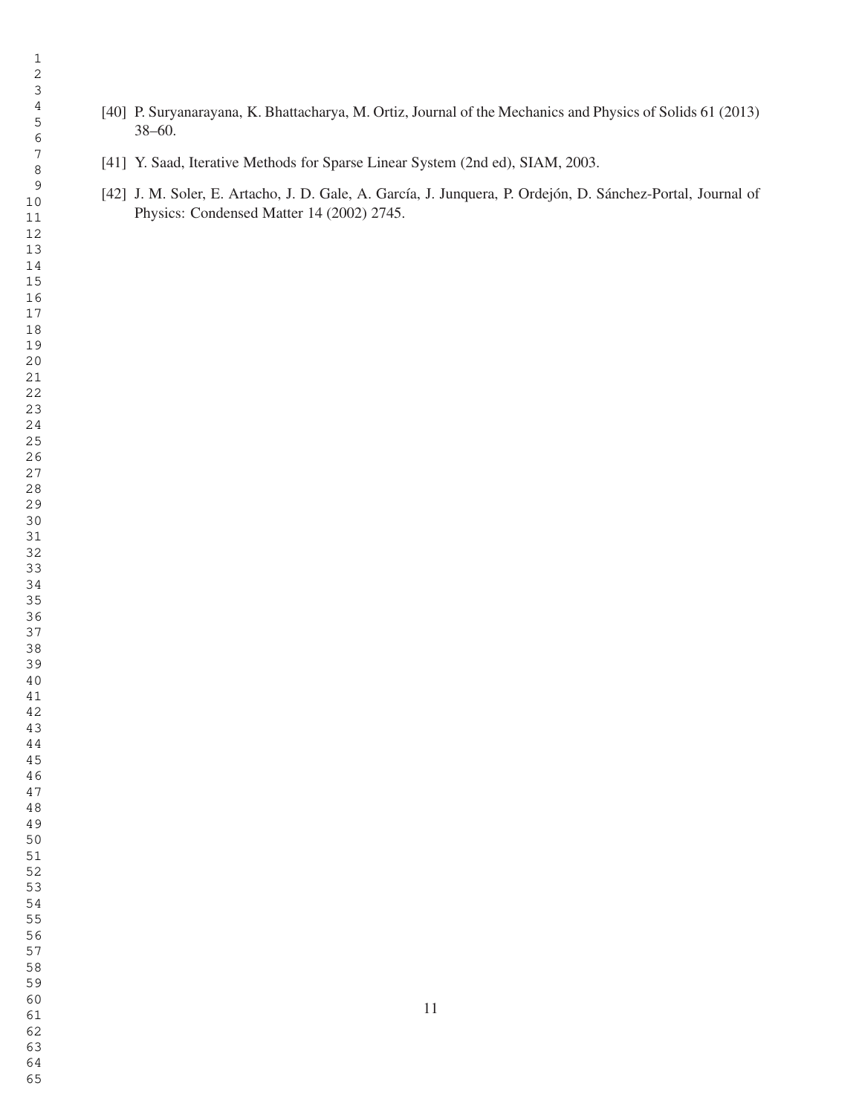- [40] P. Suryanarayana, K. Bhattacharya, M. Ortiz, Journal of the Mechanics and Physics of Solids 61 (2013) 38–60.
- [41] Y. Saad, Iterative Methods for Sparse Linear System (2nd ed), SIAM, 2003.
- [42] J. M. Soler, E. Artacho, J. D. Gale, A. García, J. Junquera, P. Ordejón, D. Sánchez-Portal, Journal of Physics: Condensed Matter 14 (2002) 2745.